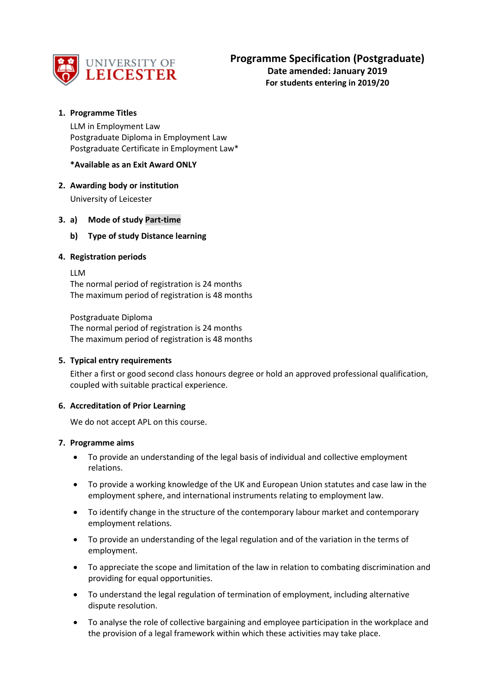

**Date amended: January 2019 For students entering in 2019/20**

# **1. Programme Titles**

LLM in Employment Law Postgraduate Diploma in Employment Law Postgraduate Certificate in Employment Law\*

## **\*Available as an Exit Award ONLY**

# **2. Awarding body or institution**

University of Leicester

## **3. a) Mode of study Part-time**

## **b) Type of study Distance learning**

## **4. Registration periods**

LLM

The normal period of registration is 24 months The maximum period of registration is 48 months

Postgraduate Diploma The normal period of registration is 24 months The maximum period of registration is 48 months

### **5. Typical entry requirements**

Either a first or good second class honours degree or hold an approved professional qualification, coupled with suitable practical experience.

### **6. Accreditation of Prior Learning**

We do not accept APL on this course.

### **7. Programme aims**

- To provide an understanding of the legal basis of individual and collective employment relations.
- To provide a working knowledge of the UK and European Union statutes and case law in the employment sphere, and international instruments relating to employment law.
- To identify change in the structure of the contemporary labour market and contemporary employment relations.
- To provide an understanding of the legal regulation and of the variation in the terms of employment.
- To appreciate the scope and limitation of the law in relation to combating discrimination and providing for equal opportunities.
- To understand the legal regulation of termination of employment, including alternative dispute resolution.
- To analyse the role of collective bargaining and employee participation in the workplace and the provision of a legal framework within which these activities may take place.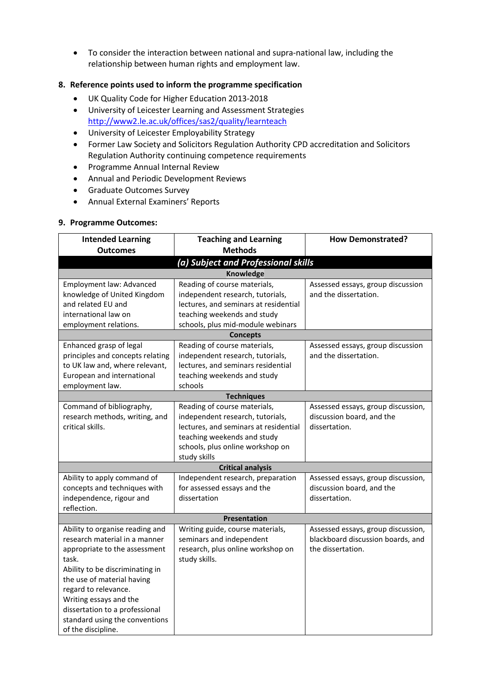• To consider the interaction between national and supra-national law, including the relationship between human rights and employment law.

# **8. Reference points used to inform the programme specification**

- UK Quality Code for Higher Education 2013-2018
- University of Leicester Learning and Assessment Strategies <http://www2.le.ac.uk/offices/sas2/quality/learnteach>
- University of Leicester Employability Strategy
- Former Law Society and Solicitors Regulation Authority CPD accreditation and Solicitors Regulation Authority continuing competence requirements
- Programme Annual Internal Review
- Annual and Periodic Development Reviews
- Graduate Outcomes Survey
- Annual External Examiners' Reports

### **9. Programme Outcomes:**

| <b>Intended Learning</b>                                                                                                                                                                                                                                                                                                | <b>Teaching and Learning</b>                                                                                                                                                                 | <b>How Demonstrated?</b>                                                                     |  |  |  |  |  |
|-------------------------------------------------------------------------------------------------------------------------------------------------------------------------------------------------------------------------------------------------------------------------------------------------------------------------|----------------------------------------------------------------------------------------------------------------------------------------------------------------------------------------------|----------------------------------------------------------------------------------------------|--|--|--|--|--|
| <b>Outcomes</b>                                                                                                                                                                                                                                                                                                         | <b>Methods</b>                                                                                                                                                                               |                                                                                              |  |  |  |  |  |
| (a) Subject and Professional skills                                                                                                                                                                                                                                                                                     |                                                                                                                                                                                              |                                                                                              |  |  |  |  |  |
| <b>Knowledge</b>                                                                                                                                                                                                                                                                                                        |                                                                                                                                                                                              |                                                                                              |  |  |  |  |  |
| Employment law: Advanced<br>knowledge of United Kingdom<br>and related EU and<br>international law on<br>employment relations.                                                                                                                                                                                          | Reading of course materials,<br>independent research, tutorials,<br>lectures, and seminars at residential<br>teaching weekends and study<br>schools, plus mid-module webinars                | Assessed essays, group discussion<br>and the dissertation.                                   |  |  |  |  |  |
|                                                                                                                                                                                                                                                                                                                         | <b>Concepts</b>                                                                                                                                                                              |                                                                                              |  |  |  |  |  |
| Enhanced grasp of legal<br>principles and concepts relating<br>to UK law and, where relevant,<br>European and international<br>employment law.                                                                                                                                                                          | Reading of course materials,<br>independent research, tutorials,<br>lectures, and seminars residential<br>teaching weekends and study<br>schools                                             | Assessed essays, group discussion<br>and the dissertation.                                   |  |  |  |  |  |
|                                                                                                                                                                                                                                                                                                                         | <b>Techniques</b>                                                                                                                                                                            |                                                                                              |  |  |  |  |  |
| Command of bibliography,<br>research methods, writing, and<br>critical skills.                                                                                                                                                                                                                                          | Reading of course materials,<br>independent research, tutorials,<br>lectures, and seminars at residential<br>teaching weekends and study<br>schools, plus online workshop on<br>study skills | Assessed essays, group discussion,<br>discussion board, and the<br>dissertation.             |  |  |  |  |  |
|                                                                                                                                                                                                                                                                                                                         | <b>Critical analysis</b>                                                                                                                                                                     |                                                                                              |  |  |  |  |  |
| Ability to apply command of<br>concepts and techniques with<br>independence, rigour and<br>reflection.                                                                                                                                                                                                                  | Independent research, preparation<br>for assessed essays and the<br>dissertation                                                                                                             | Assessed essays, group discussion,<br>discussion board, and the<br>dissertation.             |  |  |  |  |  |
|                                                                                                                                                                                                                                                                                                                         | <b>Presentation</b>                                                                                                                                                                          |                                                                                              |  |  |  |  |  |
| Ability to organise reading and<br>research material in a manner<br>appropriate to the assessment<br>task.<br>Ability to be discriminating in<br>the use of material having<br>regard to relevance.<br>Writing essays and the<br>dissertation to a professional<br>standard using the conventions<br>of the discipline. | Writing guide, course materials,<br>seminars and independent<br>research, plus online workshop on<br>study skills.                                                                           | Assessed essays, group discussion,<br>blackboard discussion boards, and<br>the dissertation. |  |  |  |  |  |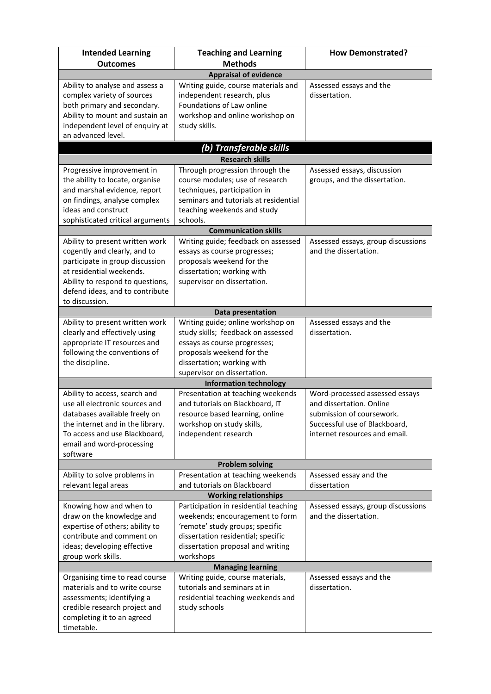| <b>Intended Learning</b>                                        | <b>Teaching and Learning</b>                                          | <b>How Demonstrated?</b>                                   |  |  |  |  |  |
|-----------------------------------------------------------------|-----------------------------------------------------------------------|------------------------------------------------------------|--|--|--|--|--|
| <b>Outcomes</b>                                                 | <b>Methods</b>                                                        |                                                            |  |  |  |  |  |
| <b>Appraisal of evidence</b>                                    |                                                                       |                                                            |  |  |  |  |  |
| Ability to analyse and assess a                                 | Writing guide, course materials and                                   | Assessed essays and the                                    |  |  |  |  |  |
| complex variety of sources                                      | independent research, plus                                            | dissertation.                                              |  |  |  |  |  |
| both primary and secondary.                                     | Foundations of Law online                                             |                                                            |  |  |  |  |  |
| Ability to mount and sustain an                                 | workshop and online workshop on                                       |                                                            |  |  |  |  |  |
| independent level of enquiry at                                 | study skills.                                                         |                                                            |  |  |  |  |  |
| an advanced level.                                              |                                                                       |                                                            |  |  |  |  |  |
|                                                                 | (b) Transferable skills                                               |                                                            |  |  |  |  |  |
|                                                                 | <b>Research skills</b>                                                |                                                            |  |  |  |  |  |
| Progressive improvement in                                      | Through progression through the                                       | Assessed essays, discussion                                |  |  |  |  |  |
| the ability to locate, organise                                 | course modules; use of research                                       | groups, and the dissertation.                              |  |  |  |  |  |
| and marshal evidence, report<br>on findings, analyse complex    | techniques, participation in<br>seminars and tutorials at residential |                                                            |  |  |  |  |  |
| ideas and construct                                             | teaching weekends and study                                           |                                                            |  |  |  |  |  |
| sophisticated critical arguments                                | schools.                                                              |                                                            |  |  |  |  |  |
|                                                                 | <b>Communication skills</b>                                           |                                                            |  |  |  |  |  |
| Ability to present written work                                 | Writing guide; feedback on assessed                                   | Assessed essays, group discussions                         |  |  |  |  |  |
| cogently and clearly, and to                                    | essays as course progresses;                                          | and the dissertation.                                      |  |  |  |  |  |
| participate in group discussion                                 | proposals weekend for the                                             |                                                            |  |  |  |  |  |
| at residential weekends.                                        | dissertation; working with                                            |                                                            |  |  |  |  |  |
| Ability to respond to questions,                                | supervisor on dissertation.                                           |                                                            |  |  |  |  |  |
| defend ideas, and to contribute                                 |                                                                       |                                                            |  |  |  |  |  |
| to discussion.                                                  |                                                                       |                                                            |  |  |  |  |  |
|                                                                 | Data presentation                                                     |                                                            |  |  |  |  |  |
| Ability to present written work                                 | Writing guide; online workshop on                                     | Assessed essays and the                                    |  |  |  |  |  |
| clearly and effectively using                                   | study skills; feedback on assessed                                    | dissertation.                                              |  |  |  |  |  |
| appropriate IT resources and                                    | essays as course progresses;                                          |                                                            |  |  |  |  |  |
| following the conventions of                                    | proposals weekend for the                                             |                                                            |  |  |  |  |  |
| the discipline.                                                 | dissertation; working with                                            |                                                            |  |  |  |  |  |
|                                                                 | supervisor on dissertation.                                           |                                                            |  |  |  |  |  |
|                                                                 | <b>Information technology</b>                                         |                                                            |  |  |  |  |  |
| Ability to access, search and<br>use all electronic sources and | Presentation at teaching weekends<br>and tutorials on Blackboard, IT  | Word-processed assessed essays<br>and dissertation. Online |  |  |  |  |  |
| databases available freely on                                   | resource based learning, online                                       | submission of coursework.                                  |  |  |  |  |  |
| the internet and in the library.                                | workshop on study skills,                                             | Successful use of Blackboard,                              |  |  |  |  |  |
| To access and use Blackboard,                                   | independent research                                                  | internet resources and email.                              |  |  |  |  |  |
| email and word-processing                                       |                                                                       |                                                            |  |  |  |  |  |
| software                                                        |                                                                       |                                                            |  |  |  |  |  |
|                                                                 | <b>Problem solving</b>                                                |                                                            |  |  |  |  |  |
| Ability to solve problems in                                    | Presentation at teaching weekends                                     | Assessed essay and the                                     |  |  |  |  |  |
| relevant legal areas                                            | and tutorials on Blackboard                                           | dissertation                                               |  |  |  |  |  |
| <b>Working relationships</b>                                    |                                                                       |                                                            |  |  |  |  |  |
| Knowing how and when to                                         | Participation in residential teaching                                 | Assessed essays, group discussions                         |  |  |  |  |  |
| draw on the knowledge and                                       | weekends; encouragement to form                                       | and the dissertation.                                      |  |  |  |  |  |
| expertise of others; ability to                                 | 'remote' study groups; specific                                       |                                                            |  |  |  |  |  |
| contribute and comment on                                       | dissertation residential; specific                                    |                                                            |  |  |  |  |  |
| ideas; developing effective                                     | dissertation proposal and writing                                     |                                                            |  |  |  |  |  |
| group work skills.                                              | workshops                                                             |                                                            |  |  |  |  |  |
| Organising time to read course                                  | <b>Managing learning</b><br>Writing guide, course materials,          | Assessed essays and the                                    |  |  |  |  |  |
| materials and to write course                                   | tutorials and seminars at in                                          | dissertation.                                              |  |  |  |  |  |
| assessments; identifying a                                      | residential teaching weekends and                                     |                                                            |  |  |  |  |  |
| credible research project and                                   | study schools                                                         |                                                            |  |  |  |  |  |
| completing it to an agreed                                      |                                                                       |                                                            |  |  |  |  |  |
| timetable.                                                      |                                                                       |                                                            |  |  |  |  |  |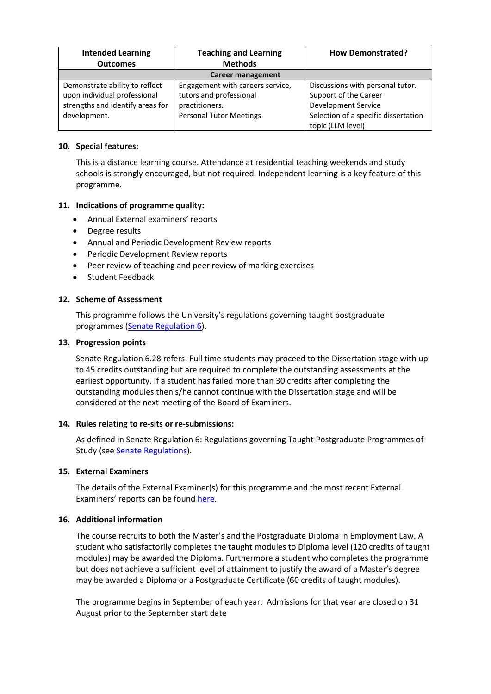| <b>Intended Learning</b>         | <b>Teaching and Learning</b>     | <b>How Demonstrated?</b>             |  |  |
|----------------------------------|----------------------------------|--------------------------------------|--|--|
| <b>Outcomes</b>                  | <b>Methods</b>                   |                                      |  |  |
| <b>Career management</b>         |                                  |                                      |  |  |
| Demonstrate ability to reflect   | Engagement with careers service, | Discussions with personal tutor.     |  |  |
| upon individual professional     | tutors and professional          | Support of the Career                |  |  |
| strengths and identify areas for | practitioners.                   | Development Service                  |  |  |
| development.                     | <b>Personal Tutor Meetings</b>   | Selection of a specific dissertation |  |  |
|                                  |                                  | topic (LLM level)                    |  |  |

## **10. Special features:**

This is a distance learning course. Attendance at residential teaching weekends and study schools is strongly encouraged, but not required. Independent learning is a key feature of this programme.

## **11. Indications of programme quality:**

- Annual External examiners' reports
- Degree results
- Annual and Periodic Development Review reports
- Periodic Development Review reports
- Peer review of teaching and peer review of marking exercises
- Student Feedback

### **12. Scheme of Assessment**

This programme follows the University's regulations governing taught postgraduate programmes [\(Senate Regulation 6\)](http://www2.le.ac.uk/offices/sas2/regulations/general-regulations-for-taught-programmes).

#### **13. Progression points**

Senate Regulation 6.28 refers: Full time students may proceed to the Dissertation stage with up to 45 credits outstanding but are required to complete the outstanding assessments at the earliest opportunity. If a student has failed more than 30 credits after completing the outstanding modules then s/he cannot continue with the Dissertation stage and will be considered at the next meeting of the Board of Examiners.

### **14. Rules relating to re-sits or re-submissions:**

As defined in Senate Regulation 6: Regulations governing Taught Postgraduate Programmes of Study (see Senate Regulations).

### **15. External Examiners**

The details of the External Examiner(s) for this programme and the most recent External Examiners' reports can be foun[d here.](https://exampapers.le.ac.uk/xmlui/handle/123456789/8)

### **16. Additional information**

The course recruits to both the Master's and the Postgraduate Diploma in Employment Law. A student who satisfactorily completes the taught modules to Diploma level (120 credits of taught modules) may be awarded the Diploma. Furthermore a student who completes the programme but does not achieve a sufficient level of attainment to justify the award of a Master's degree may be awarded a Diploma or a Postgraduate Certificate (60 credits of taught modules).

The programme begins in September of each year. Admissions for that year are closed on 31 August prior to the September start date